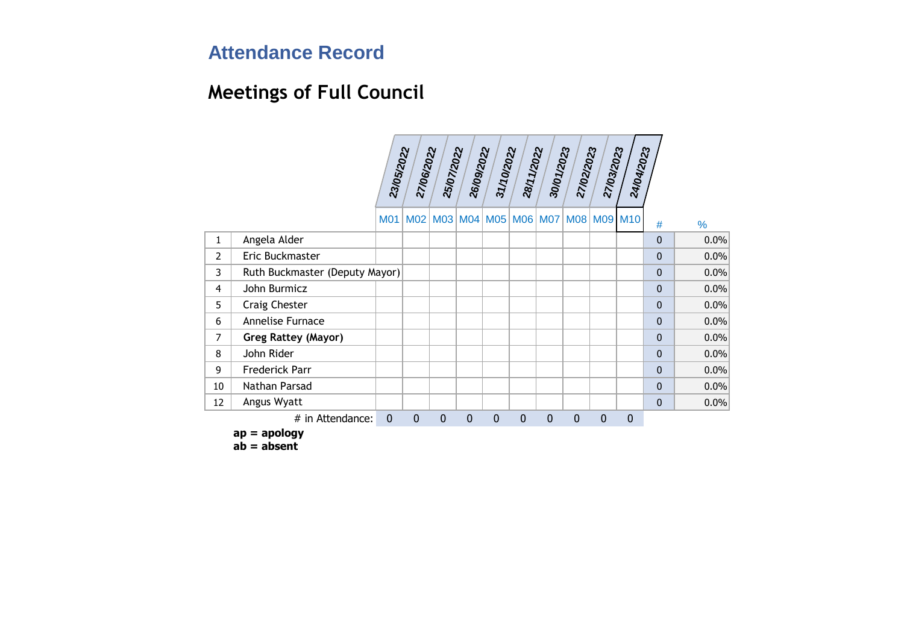# **Meetings of Full Council**

|                |                                | 23/05/2022   | 27/06/2022      | 25/07/2022  | 26/09/2022  | 31/10/2022   | 28/11/2022                      | 30/01/2023   | 27/02/2023   | 27/03/2023   | 24/04/2023  |              |               |
|----------------|--------------------------------|--------------|-----------------|-------------|-------------|--------------|---------------------------------|--------------|--------------|--------------|-------------|--------------|---------------|
|                |                                |              |                 |             |             |              |                                 |              |              |              |             |              |               |
|                |                                |              |                 |             |             |              |                                 |              |              |              |             |              |               |
|                |                                | <b>M01</b>   | M <sub>02</sub> |             |             |              | M03 M04 M05 M06 M07 M08 M09 M10 |              |              |              |             | #            | $\frac{9}{6}$ |
| 1              | Angela Alder                   |              |                 |             |             |              |                                 |              |              |              |             | $\mathbf{0}$ | 0.0%          |
| $\overline{2}$ | Eric Buckmaster                |              |                 |             |             |              |                                 |              |              |              |             | $\mathbf{0}$ | 0.0%          |
| 3              | Ruth Buckmaster (Deputy Mayor) |              |                 |             |             |              |                                 |              |              |              |             | $\mathbf{0}$ | 0.0%          |
| 4              | John Burmicz                   |              |                 |             |             |              |                                 |              |              |              |             | $\mathbf{0}$ | 0.0%          |
| 5              | Craig Chester                  |              |                 |             |             |              |                                 |              |              |              |             | $\mathbf{0}$ | 0.0%          |
| 6              | Annelise Furnace               |              |                 |             |             |              |                                 |              |              |              |             | $\mathbf{0}$ | 0.0%          |
| 7              | Greg Rattey (Mayor)            |              |                 |             |             |              |                                 |              |              |              |             | $\mathbf{0}$ | 0.0%          |
| 8              | John Rider                     |              |                 |             |             |              |                                 |              |              |              |             | $\mathbf{0}$ | 0.0%          |
| 9              | Frederick Parr                 |              |                 |             |             |              |                                 |              |              |              |             | $\mathbf{0}$ | 0.0%          |
| 10             | Nathan Parsad                  |              |                 |             |             |              |                                 |              |              |              |             | $\Omega$     | 0.0%          |
| 12             | Angus Wyatt                    |              |                 |             |             |              |                                 |              |              |              |             | $\mathbf{0}$ | 0.0%          |
|                | # in Attendance:               | $\mathbf{0}$ | $\mathbf{0}$    | $\mathbf 0$ | $\mathbf 0$ | $\mathbf{0}$ | $\mathbf{0}$                    | $\mathbf{0}$ | $\mathbf{0}$ | $\mathbf{0}$ | $\mathbf 0$ |              |               |

**ap = apology**

**ab = absent**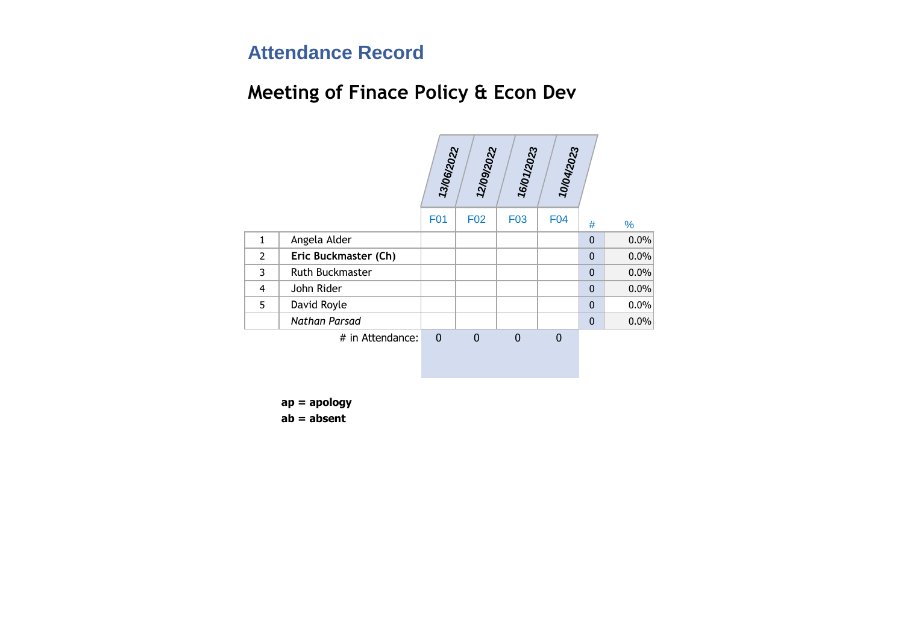### **Meeting of Finace Policy & Econ Dev**

|                      |              |                 | 16/01/2023     | 10/04/2023   |              |      |
|----------------------|--------------|-----------------|----------------|--------------|--------------|------|
|                      | <b>F01</b>   | F <sub>02</sub> | F03            | F04          | #            | %    |
| Angela Alder         |              |                 |                |              | $\mathbf{0}$ | 0.0% |
| Eric Buckmaster (Ch) |              |                 |                |              | $\mathbf{0}$ | 0.0% |
| Ruth Buckmaster      |              |                 |                |              | $\mathbf 0$  | 0.0% |
| John Rider           |              |                 |                |              | $\mathbf{0}$ | 0.0% |
| David Royle          |              |                 |                |              | $\mathbf{0}$ | 0.0% |
| <b>Nathan Parsad</b> |              |                 |                |              | $\mathbf{0}$ | 0.0% |
| # in Attendance:     | $\mathbf{0}$ | $\mathbf{0}$    | $\overline{0}$ | $\mathbf{0}$ |              |      |
|                      |              |                 |                |              |              |      |
|                      |              |                 | 13/06/2022     | 12/09/2022   |              |      |

**ap = apology ab = absent**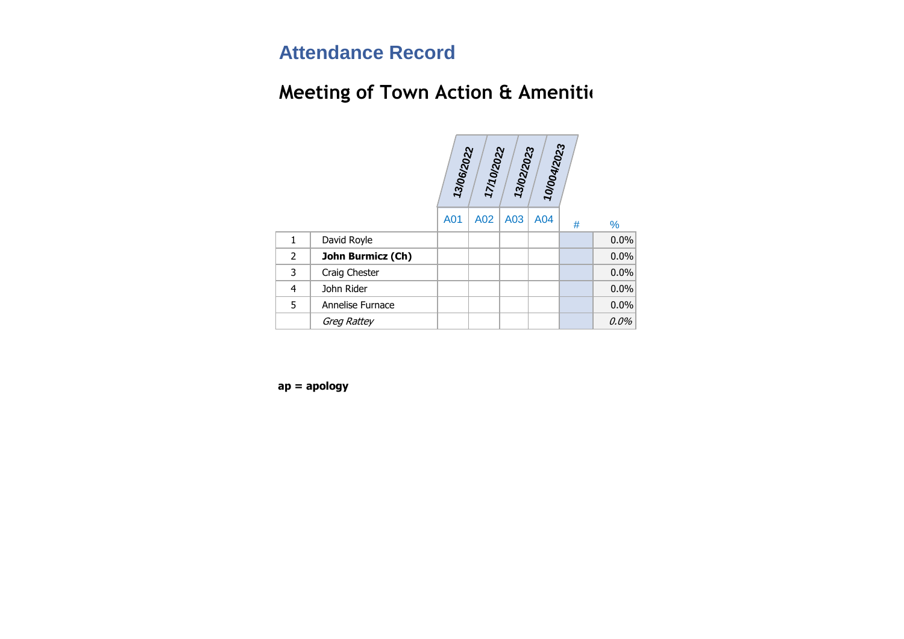# **Meeting of Town Action & Amenities**

|                |                   | 13/06/2022 | 17/10/2022 | 13/02/2023 | 10/004/2023 |   |      |
|----------------|-------------------|------------|------------|------------|-------------|---|------|
|                |                   | A01        | A02        | A03        | A04         | # | %    |
| 1              | David Royle       |            |            |            |             |   | 0.0% |
| 2              | John Burmicz (Ch) |            |            |            |             |   | 0.0% |
| 3              | Craig Chester     |            |            |            |             |   | 0.0% |
| $\overline{4}$ | John Rider        |            |            |            |             |   | 0.0% |
| 5              | Annelise Furnace  |            |            |            |             |   | 0.0% |
|                | Greg Rattey       |            |            |            |             |   | 0.0% |

**ap = apology**